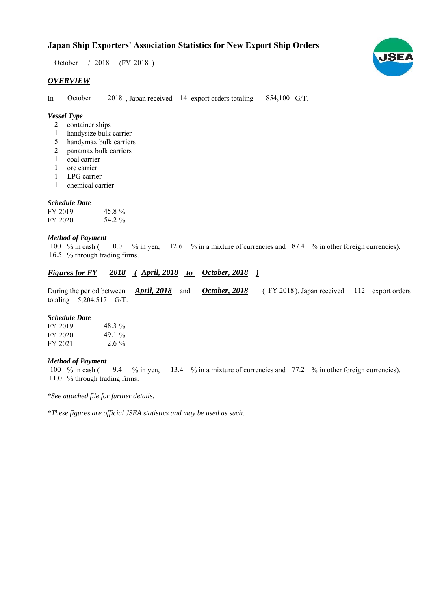# **Japan Ship Exporters' Association Statistics for New Export Ship Orders**

 $/ 2018$  (FY 2018) October / 2018

# *OVERVIEW*

In October 2018, Japan received 14 export orders totaling 854,100 G/T. October

# *Vessel Type*

- container ships 2
- handysize bulk carrier 1
- handymax bulk carriers 5
- panamax bulk carriers 2
- coal carrier 1
- ore carrier 1
- LPG carrier 1
- chemical carrier 1

# *Schedule Date*

| FY 2019 | 45.8 $\%$ |
|---------|-----------|
| FY 2020 | 54.2 %    |

# *Method of Payment*

% in cash ( $\ 0.0\,$  % in yen,  $12.6\,$  % in a mixture of currencies and  $87.4\,$  % in other foreign currencies). 16.5 % through trading firms. 100 % in cash (

# *Figures for FY* 2018 (*April, 2018 to 0ctober, 2018* )

During the period between *April, 2018* and *October, 2018* (FY 2018), Japan received 112 export orders totaling  $5,204,517$  G/T. FY 2018), Japan received 112 *October, 2018*

#### *Schedule Date*

| FY 2019 | 48.3 $\%$ |
|---------|-----------|
| FY 2020 | 49.1 $\%$ |
| FY 2021 | $2.6\%$   |

# *Method of Payment*

% in cash ( $\frac{9.4}{8}$  in yen, 13.4 % in a mixture of currencies and 77.2 % in other foreign currencies). 11.0 % through trading firms. 100 % in cash ( 9.4 % in yen,

*\*See attached file for further details.*

*\*These figures are official JSEA statistics and may be used as such.*

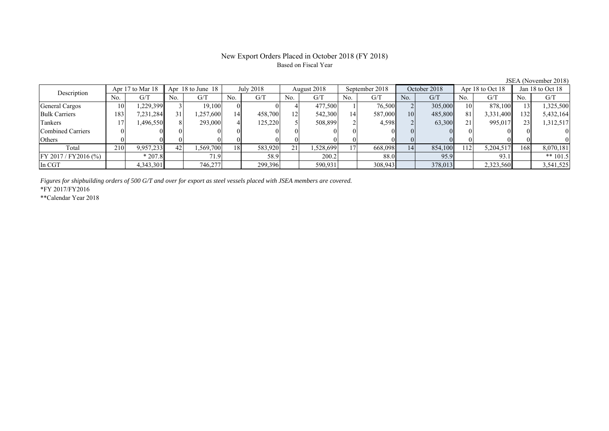# New Export Orders Placed in October 2018 (FY 2018) Based on Fiscal Year

JSEA (November 2018)<br>Jan 18 to Oct 18 No. G/T No. G/T No. G/T No. G/T No. G/T No. G/T No. G/T No. G/T General Cargos ( 10 1,229,399 3 19,100 0 0 4 477,500 1 76,500 2 305,000 10 878,100 13 1,325,500 Bulk Carriers 183 7,231,284 31 1,257,600 14 458,700 12 542,300 14 587,000 10 485,800 81 3,331,400 132 5,432,164 Tankers | 17| 1,496,550|| 8| 293,000| 4| 125,220| 5| 508,899| 2| 4,598| 2| 63,300| 21| 995,017|| 23| 1,312,517 Combined Carriers 0 0 0 0 0 0 0 0 0 0 0 0 0 0 0 0 Others | 0 | 0 || 0 || 0 || 0 || 0 || 0 || 0 || 0 || 0 || 0 | Total 210 9,957,233 42 1,569,700 18 583,920 21 1,528,699 17 668,098 14 854,100 112 5,204,517 168 8,070,181 FY 2017 / FY2016 (%) \* 207.8 71.9 58.9 200.2 88.0 95.9 93.1 \*\* 101.5 In CGT | | 4,343,301 | | 746,277 | | 299,396 | | 590,931 | | 308,943 | | 378,013 | | 2,323,560 | | 3,541,525 Description Apr 17 to Mar 18 Apr 18 to June 18 July 2018 August 2018<br>No. | G/T No. | G/T No. | G/T No. | G/T September 2018 October 2018 Apr 18 to Oct 18

*Figures for shipbuilding orders of 500 G/T and over for export as steel vessels placed with JSEA members are covered.*

\*FY 2017/FY2016

\*\*Calendar Year 2018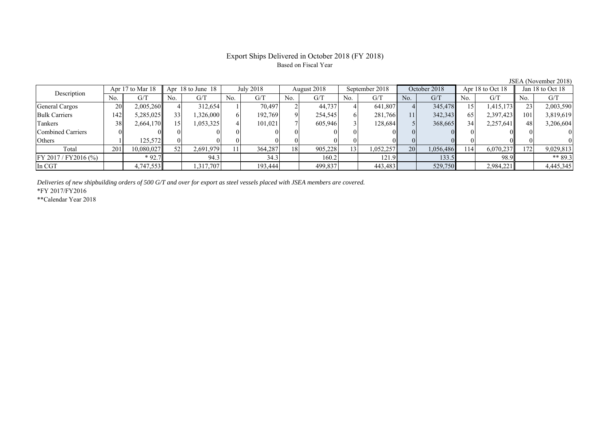# Export Ships Delivered in October 2018 (FY 2018) Based on Fiscal Year

| Description             |     | Apr 17 to Mar 18 |     | Apr 18 to June 18 |     | July 2018 |          | August 2018 |                 | September 2018 |     | October 2018 |                 | Apr $18$ to Oct $18$ |     | Jan 18 to Oct 18 |
|-------------------------|-----|------------------|-----|-------------------|-----|-----------|----------|-------------|-----------------|----------------|-----|--------------|-----------------|----------------------|-----|------------------|
|                         | No. | G/T              | No. | G/T               | No. | G/T       | No.      | G/T         | No.             | G/T            | No. | G/T          | No.             | G/T                  | No. | G/T              |
| General Cargos          | 20  | 2,005,260        |     | 312,654           |     | 70,497    |          | 44,737      |                 | 641,807        |     | 345,478      | 15              | 1,415,173            |     | 2,003,590        |
| <b>Bulk Carriers</b>    | 142 | 5,285,025        | 33  | 326,000           |     | 192,769   | $\Omega$ | 254,545     |                 | 281,766        | 11  | 342,343      | 65              | 2,397,423            | 101 | 3,819,619        |
| Tankers                 | 38  | 2,664,170        | 15۱ | 1,053,325         |     | 101,021   |          | 605,946     |                 | 128,684        |     | 368,665      | 34 <sub>1</sub> | 2,257,641            | 48  | 3,206,604        |
| Combined Carriers       |     |                  |     |                   |     |           |          |             |                 |                |     |              |                 |                      |     |                  |
| Others                  |     | 125.572          |     |                   |     |           |          |             |                 |                |     |              |                 |                      |     |                  |
| Total                   | 201 | 10,080,027       | 52  | 2,691,979         |     | 364.287   | 18       | 905,228     | 13 <sub>1</sub> | 1,052,257      | 20  | 1,056,486    | 14              | 6,070,237            | 172 | 9,029,813        |
| $FY 2017 / FY 2016$ (%) |     | $*92.7$          |     | 94.3              |     | 34.3      |          | 160.2       |                 | 121.9          |     | 133.5        |                 | 98.9                 |     | ** 89.3          |
| In CGT                  |     | 4,747,553        |     | .317,707          |     | 193,444   |          | 499,837     |                 | 443,483        |     | 529,750      |                 | 2,984,221            |     | 4,445,345        |

*Deliveries of new shipbuilding orders of 500 G/T and over for export as steel vessels placed with JSEA members are covered.*

\*FY 2017/FY2016

\*\*Calendar Year 2018

JSEA (November 2018)